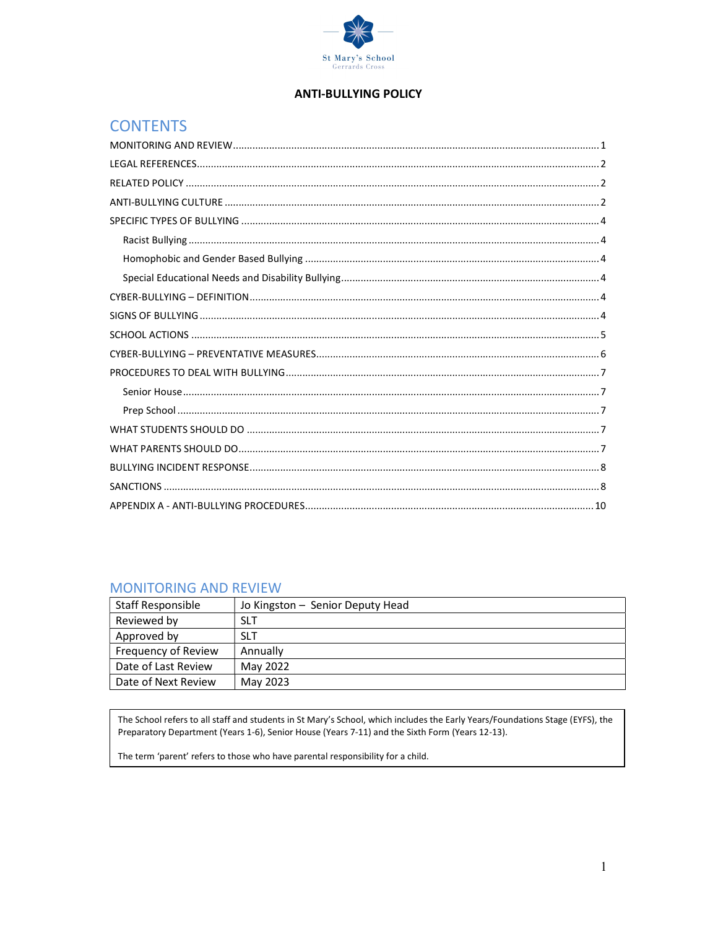

## **ANTI-BULLYING POLICY**

# **CONTENTS**

## **MONITORING AND REVIEW**

| Staff Responsible   | Jo Kingston - Senior Deputy Head |
|---------------------|----------------------------------|
| Reviewed by         | <b>SLT</b>                       |
| Approved by         | <b>SLT</b>                       |
| Frequency of Review | Annually                         |
| Date of Last Review | May 2022                         |
| Date of Next Review | May 2023                         |

The School refers to all staff and students in St Mary's School, which includes the Early Years/Foundations Stage (EYFS), the Preparatory Department (Years 1-6), Senior House (Years 7-11) and the Sixth Form (Years 12-13).

The term 'parent' refers to those who have parental responsibility for a child.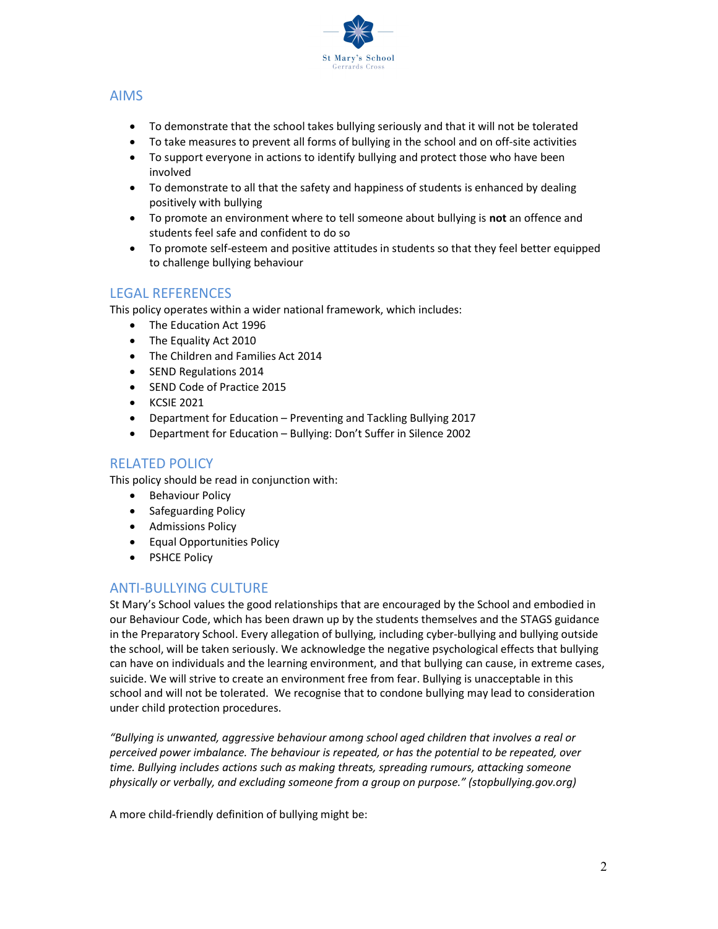

## AIMS

- To demonstrate that the school takes bullying seriously and that it will not be tolerated
- To take measures to prevent all forms of bullying in the school and on off-site activities
- To support everyone in actions to identify bullying and protect those who have been involved
- To demonstrate to all that the safety and happiness of students is enhanced by dealing positively with bullying
- To promote an environment where to tell someone about bullying is not an offence and students feel safe and confident to do so
- To promote self-esteem and positive attitudes in students so that they feel better equipped to challenge bullying behaviour

## LEGAL REFERENCES

This policy operates within a wider national framework, which includes:

- The Education Act 1996
- The Equality Act 2010
- The Children and Families Act 2014
- SEND Regulations 2014
- SEND Code of Practice 2015
- **•** KCSIE 2021
- Department for Education Preventing and Tackling Bullying 2017
- Department for Education Bullying: Don't Suffer in Silence 2002

## RELATED POLICY

This policy should be read in conjunction with:

- **•** Behaviour Policy
- Safeguarding Policy
- **•** Admissions Policy
- Equal Opportunities Policy
- PSHCE Policy

# ANTI-BULLYING CULTURE

St Mary's School values the good relationships that are encouraged by the School and embodied in our Behaviour Code, which has been drawn up by the students themselves and the STAGS guidance in the Preparatory School. Every allegation of bullying, including cyber-bullying and bullying outside the school, will be taken seriously. We acknowledge the negative psychological effects that bullying can have on individuals and the learning environment, and that bullying can cause, in extreme cases, suicide. We will strive to create an environment free from fear. Bullying is unacceptable in this school and will not be tolerated. We recognise that to condone bullying may lead to consideration under child protection procedures.

"Bullying is unwanted, aggressive behaviour among school aged children that involves a real or perceived power imbalance. The behaviour is repeated, or has the potential to be repeated, over time. Bullying includes actions such as making threats, spreading rumours, attacking someone physically or verbally, and excluding someone from a group on purpose." (stopbullying.gov.org)

A more child-friendly definition of bullying might be: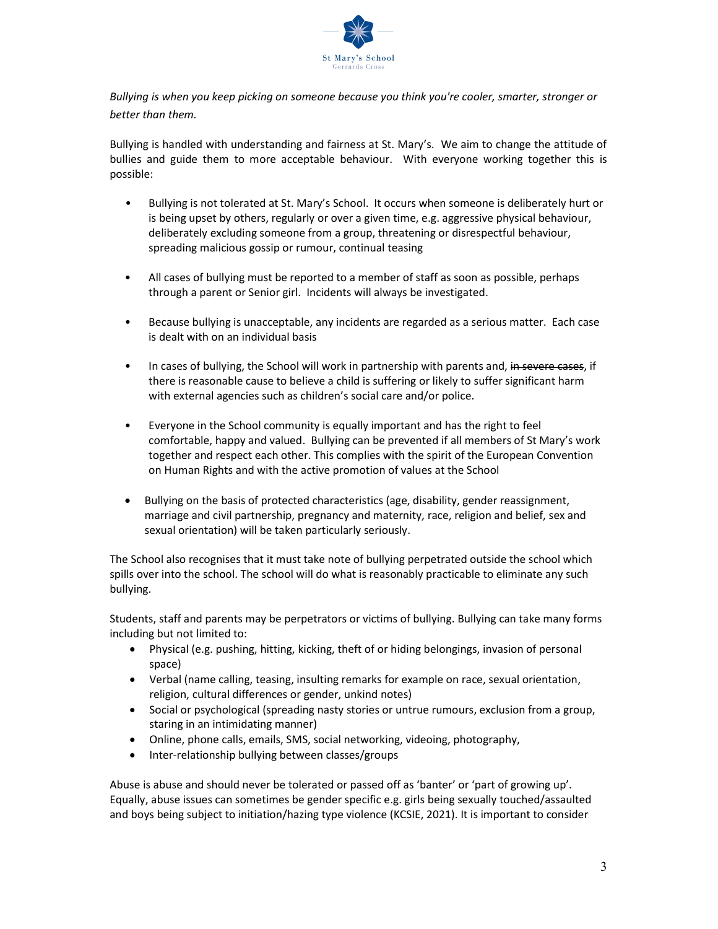

Bullying is when you keep picking on someone because you think you're cooler, smarter, stronger or better than them.

Bullying is handled with understanding and fairness at St. Mary's. We aim to change the attitude of bullies and guide them to more acceptable behaviour. With everyone working together this is possible:

- Bullying is not tolerated at St. Mary's School. It occurs when someone is deliberately hurt or is being upset by others, regularly or over a given time, e.g. aggressive physical behaviour, deliberately excluding someone from a group, threatening or disrespectful behaviour, spreading malicious gossip or rumour, continual teasing
- All cases of bullying must be reported to a member of staff as soon as possible, perhaps through a parent or Senior girl. Incidents will always be investigated.
- Because bullying is unacceptable, any incidents are regarded as a serious matter. Each case is dealt with on an individual basis
- In cases of bullying, the School will work in partnership with parents and, in severe cases, if there is reasonable cause to believe a child is suffering or likely to suffer significant harm with external agencies such as children's social care and/or police.
- Everyone in the School community is equally important and has the right to feel comfortable, happy and valued. Bullying can be prevented if all members of St Mary's work together and respect each other. This complies with the spirit of the European Convention on Human Rights and with the active promotion of values at the School
- Bullying on the basis of protected characteristics (age, disability, gender reassignment, marriage and civil partnership, pregnancy and maternity, race, religion and belief, sex and sexual orientation) will be taken particularly seriously.

The School also recognises that it must take note of bullying perpetrated outside the school which spills over into the school. The school will do what is reasonably practicable to eliminate any such bullying.

Students, staff and parents may be perpetrators or victims of bullying. Bullying can take many forms including but not limited to:

- Physical (e.g. pushing, hitting, kicking, theft of or hiding belongings, invasion of personal space)
- Verbal (name calling, teasing, insulting remarks for example on race, sexual orientation, religion, cultural differences or gender, unkind notes)
- Social or psychological (spreading nasty stories or untrue rumours, exclusion from a group, staring in an intimidating manner)
- Online, phone calls, emails, SMS, social networking, videoing, photography,
- Inter-relationship bullying between classes/groups

Abuse is abuse and should never be tolerated or passed off as 'banter' or 'part of growing up'. Equally, abuse issues can sometimes be gender specific e.g. girls being sexually touched/assaulted and boys being subject to initiation/hazing type violence (KCSIE, 2021). It is important to consider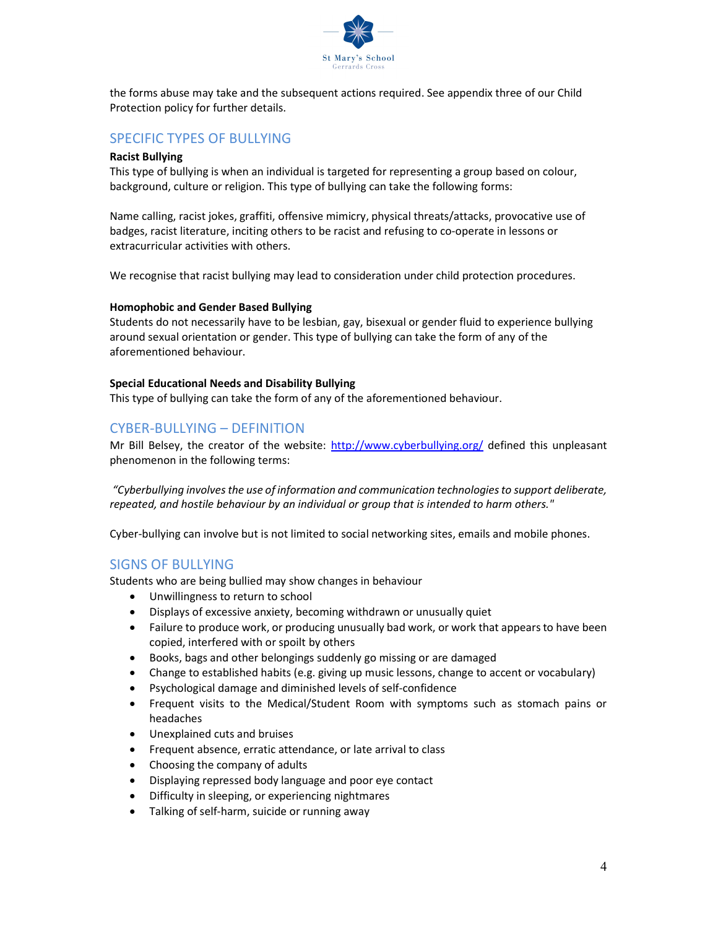

the forms abuse may take and the subsequent actions required. See appendix three of our Child Protection policy for further details.

## SPECIFIC TYPES OF BULLYING

#### Racist Bullying

This type of bullying is when an individual is targeted for representing a group based on colour, background, culture or religion. This type of bullying can take the following forms:

Name calling, racist jokes, graffiti, offensive mimicry, physical threats/attacks, provocative use of badges, racist literature, inciting others to be racist and refusing to co-operate in lessons or extracurricular activities with others.

We recognise that racist bullying may lead to consideration under child protection procedures.

#### Homophobic and Gender Based Bullying

Students do not necessarily have to be lesbian, gay, bisexual or gender fluid to experience bullying around sexual orientation or gender. This type of bullying can take the form of any of the aforementioned behaviour.

#### Special Educational Needs and Disability Bullying

This type of bullying can take the form of any of the aforementioned behaviour.

### CYBER-BULLYING – DEFINITION

Mr Bill Belsey, the creator of the website: http://www.cyberbullying.org/ defined this unpleasant phenomenon in the following terms:

 "Cyberbullying involves the use of information and communication technologies to support deliberate, repeated, and hostile behaviour by an individual or group that is intended to harm others."

Cyber-bullying can involve but is not limited to social networking sites, emails and mobile phones.

### SIGNS OF BULLYING

Students who are being bullied may show changes in behaviour

- Unwillingness to return to school
- Displays of excessive anxiety, becoming withdrawn or unusually quiet
- Failure to produce work, or producing unusually bad work, or work that appears to have been copied, interfered with or spoilt by others
- Books, bags and other belongings suddenly go missing or are damaged
- Change to established habits (e.g. giving up music lessons, change to accent or vocabulary)
- Psychological damage and diminished levels of self-confidence
- Frequent visits to the Medical/Student Room with symptoms such as stomach pains or headaches
- Unexplained cuts and bruises
- Frequent absence, erratic attendance, or late arrival to class
- Choosing the company of adults
- Displaying repressed body language and poor eye contact
- Difficulty in sleeping, or experiencing nightmares
- Talking of self-harm, suicide or running away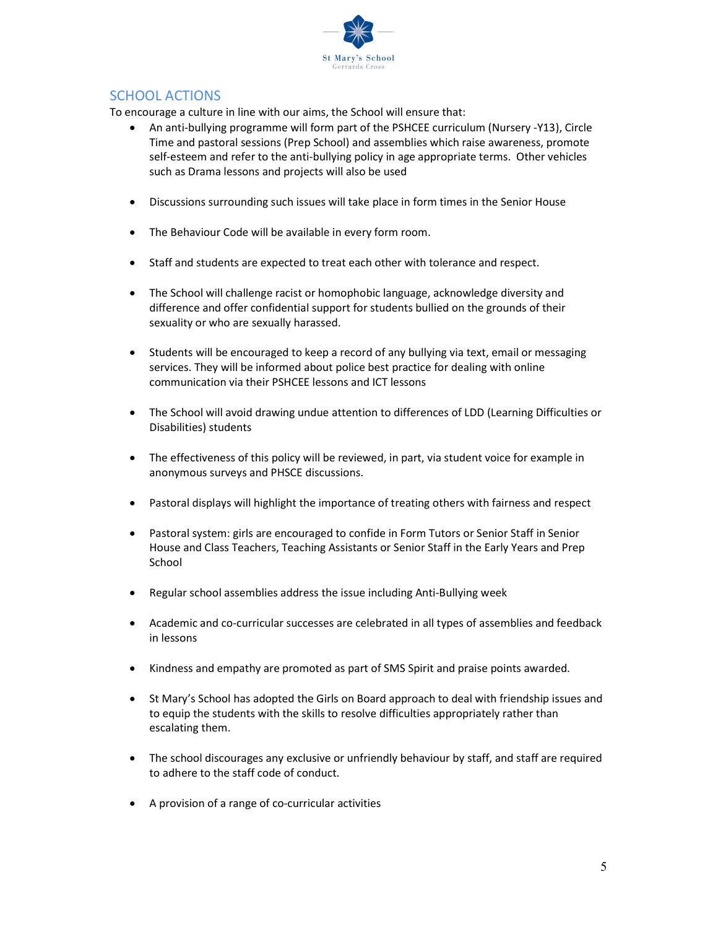

# SCHOOL ACTIONS

To encourage a culture in line with our aims, the School will ensure that:

- An anti-bullying programme will form part of the PSHCEE curriculum (Nursery -Y13), Circle Time and pastoral sessions (Prep School) and assemblies which raise awareness, promote self-esteem and refer to the anti-bullying policy in age appropriate terms. Other vehicles such as Drama lessons and projects will also be used
- Discussions surrounding such issues will take place in form times in the Senior House
- The Behaviour Code will be available in every form room.
- Staff and students are expected to treat each other with tolerance and respect.
- The School will challenge racist or homophobic language, acknowledge diversity and difference and offer confidential support for students bullied on the grounds of their sexuality or who are sexually harassed.
- Students will be encouraged to keep a record of any bullying via text, email or messaging services. They will be informed about police best practice for dealing with online communication via their PSHCEE lessons and ICT lessons
- The School will avoid drawing undue attention to differences of LDD (Learning Difficulties or Disabilities) students
- The effectiveness of this policy will be reviewed, in part, via student voice for example in anonymous surveys and PHSCE discussions.
- Pastoral displays will highlight the importance of treating others with fairness and respect
- Pastoral system: girls are encouraged to confide in Form Tutors or Senior Staff in Senior House and Class Teachers, Teaching Assistants or Senior Staff in the Early Years and Prep School
- Regular school assemblies address the issue including Anti-Bullying week
- Academic and co-curricular successes are celebrated in all types of assemblies and feedback in lessons
- Kindness and empathy are promoted as part of SMS Spirit and praise points awarded.
- St Mary's School has adopted the Girls on Board approach to deal with friendship issues and to equip the students with the skills to resolve difficulties appropriately rather than escalating them.
- The school discourages any exclusive or unfriendly behaviour by staff, and staff are required to adhere to the staff code of conduct.
- A provision of a range of co-curricular activities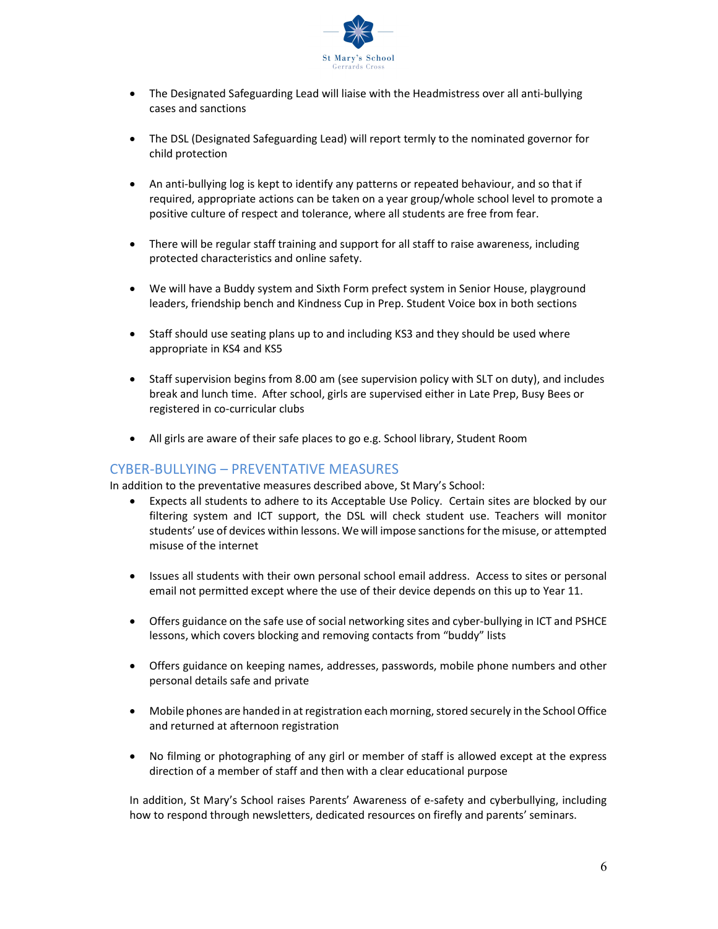

- The Designated Safeguarding Lead will liaise with the Headmistress over all anti-bullying cases and sanctions
- The DSL (Designated Safeguarding Lead) will report termly to the nominated governor for child protection
- An anti-bullying log is kept to identify any patterns or repeated behaviour, and so that if required, appropriate actions can be taken on a year group/whole school level to promote a positive culture of respect and tolerance, where all students are free from fear.
- There will be regular staff training and support for all staff to raise awareness, including protected characteristics and online safety.
- We will have a Buddy system and Sixth Form prefect system in Senior House, playground leaders, friendship bench and Kindness Cup in Prep. Student Voice box in both sections
- Staff should use seating plans up to and including KS3 and they should be used where appropriate in KS4 and KS5
- Staff supervision begins from 8.00 am (see supervision policy with SLT on duty), and includes break and lunch time. After school, girls are supervised either in Late Prep, Busy Bees or registered in co-curricular clubs
- All girls are aware of their safe places to go e.g. School library, Student Room

## CYBER-BULLYING – PREVENTATIVE MEASURES

In addition to the preventative measures described above, St Mary's School:

- Expects all students to adhere to its Acceptable Use Policy. Certain sites are blocked by our filtering system and ICT support, the DSL will check student use. Teachers will monitor students' use of devices within lessons. We will impose sanctions for the misuse, or attempted misuse of the internet
- Issues all students with their own personal school email address. Access to sites or personal email not permitted except where the use of their device depends on this up to Year 11.
- Offers guidance on the safe use of social networking sites and cyber-bullying in ICT and PSHCE lessons, which covers blocking and removing contacts from "buddy" lists
- Offers guidance on keeping names, addresses, passwords, mobile phone numbers and other personal details safe and private
- Mobile phones are handed in at registration each morning, stored securely in the School Office and returned at afternoon registration
- No filming or photographing of any girl or member of staff is allowed except at the express direction of a member of staff and then with a clear educational purpose

In addition, St Mary's School raises Parents' Awareness of e-safety and cyberbullying, including how to respond through newsletters, dedicated resources on firefly and parents' seminars.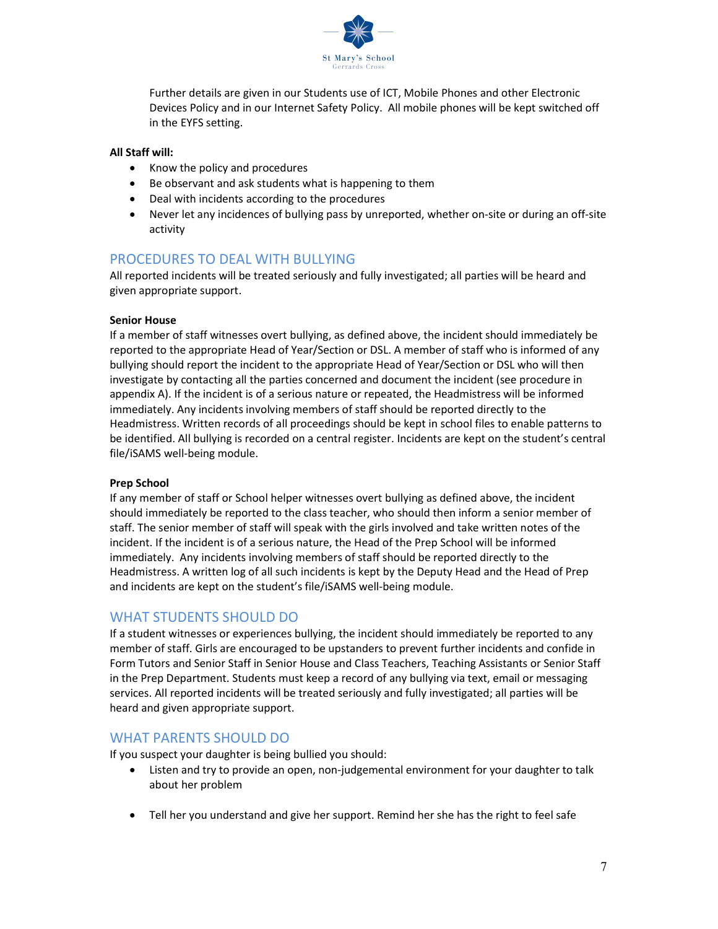

Further details are given in our Students use of ICT, Mobile Phones and other Electronic Devices Policy and in our Internet Safety Policy. All mobile phones will be kept switched off in the EYFS setting.

#### All Staff will:

- Know the policy and procedures
- Be observant and ask students what is happening to them
- Deal with incidents according to the procedures
- Never let any incidences of bullying pass by unreported, whether on-site or during an off-site activity

## PROCEDURES TO DEAL WITH BULLYING

All reported incidents will be treated seriously and fully investigated; all parties will be heard and given appropriate support.

#### Senior House

If a member of staff witnesses overt bullying, as defined above, the incident should immediately be reported to the appropriate Head of Year/Section or DSL. A member of staff who is informed of any bullying should report the incident to the appropriate Head of Year/Section or DSL who will then investigate by contacting all the parties concerned and document the incident (see procedure in appendix A). If the incident is of a serious nature or repeated, the Headmistress will be informed immediately. Any incidents involving members of staff should be reported directly to the Headmistress. Written records of all proceedings should be kept in school files to enable patterns to be identified. All bullying is recorded on a central register. Incidents are kept on the student's central file/iSAMS well-being module.

#### Prep School

If any member of staff or School helper witnesses overt bullying as defined above, the incident should immediately be reported to the class teacher, who should then inform a senior member of staff. The senior member of staff will speak with the girls involved and take written notes of the incident. If the incident is of a serious nature, the Head of the Prep School will be informed immediately. Any incidents involving members of staff should be reported directly to the Headmistress. A written log of all such incidents is kept by the Deputy Head and the Head of Prep and incidents are kept on the student's file/iSAMS well-being module.

### WHAT STUDENTS SHOULD DO

If a student witnesses or experiences bullying, the incident should immediately be reported to any member of staff. Girls are encouraged to be upstanders to prevent further incidents and confide in Form Tutors and Senior Staff in Senior House and Class Teachers, Teaching Assistants or Senior Staff in the Prep Department. Students must keep a record of any bullying via text, email or messaging services. All reported incidents will be treated seriously and fully investigated; all parties will be heard and given appropriate support.

### WHAT PARENTS SHOULD DO

If you suspect your daughter is being bullied you should:

- Listen and try to provide an open, non-judgemental environment for your daughter to talk about her problem
- Tell her you understand and give her support. Remind her she has the right to feel safe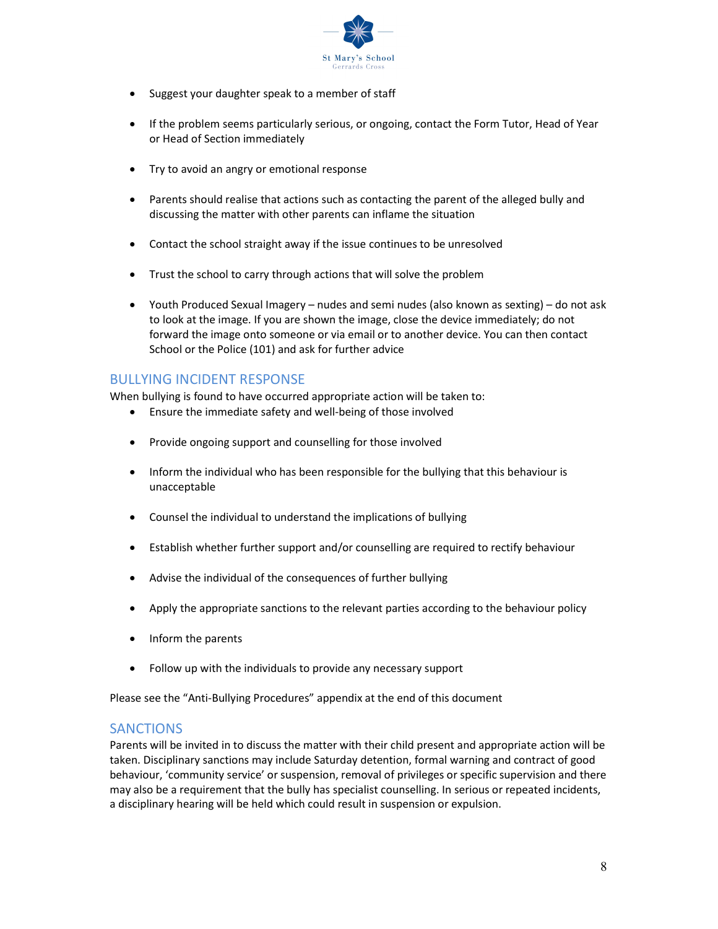

- Suggest your daughter speak to a member of staff
- If the problem seems particularly serious, or ongoing, contact the Form Tutor, Head of Year or Head of Section immediately
- Try to avoid an angry or emotional response
- Parents should realise that actions such as contacting the parent of the alleged bully and discussing the matter with other parents can inflame the situation
- Contact the school straight away if the issue continues to be unresolved
- Trust the school to carry through actions that will solve the problem
- Youth Produced Sexual Imagery nudes and semi nudes (also known as sexting) do not ask to look at the image. If you are shown the image, close the device immediately; do not forward the image onto someone or via email or to another device. You can then contact School or the Police (101) and ask for further advice

## BULLYING INCIDENT RESPONSE

When bullying is found to have occurred appropriate action will be taken to:

- Ensure the immediate safety and well-being of those involved
- Provide ongoing support and counselling for those involved
- Inform the individual who has been responsible for the bullying that this behaviour is unacceptable
- Counsel the individual to understand the implications of bullying
- Establish whether further support and/or counselling are required to rectify behaviour
- Advise the individual of the consequences of further bullying
- Apply the appropriate sanctions to the relevant parties according to the behaviour policy
- Inform the parents
- Follow up with the individuals to provide any necessary support

Please see the "Anti-Bullying Procedures" appendix at the end of this document

## **SANCTIONS**

Parents will be invited in to discuss the matter with their child present and appropriate action will be taken. Disciplinary sanctions may include Saturday detention, formal warning and contract of good behaviour, 'community service' or suspension, removal of privileges or specific supervision and there may also be a requirement that the bully has specialist counselling. In serious or repeated incidents, a disciplinary hearing will be held which could result in suspension or expulsion.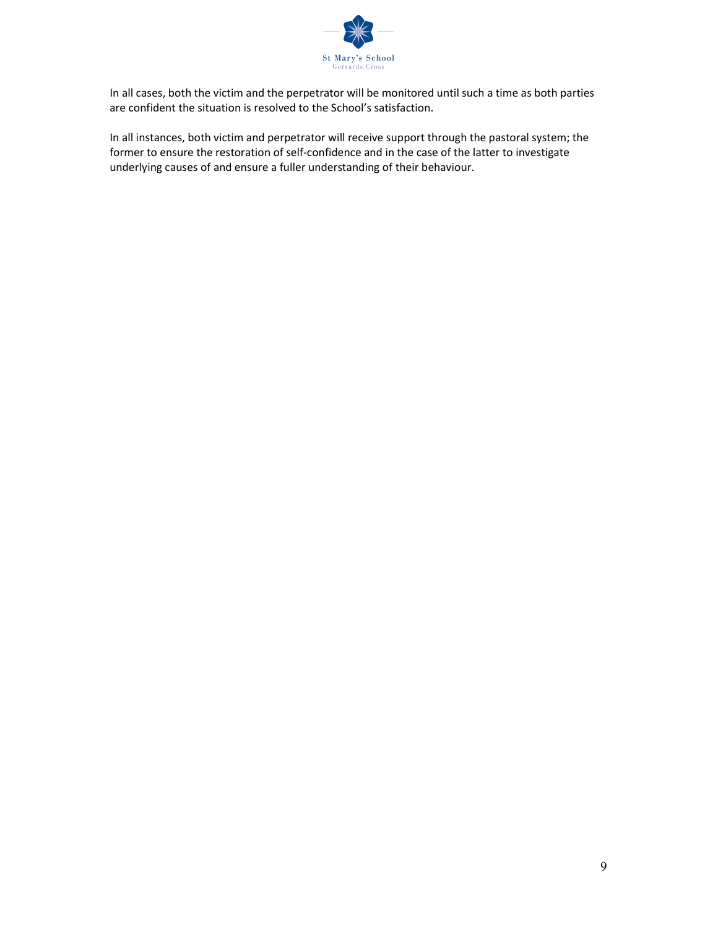

In all cases, both the victim and the perpetrator will be monitored until such a time as both parties are confident the situation is resolved to the School's satisfaction.

In all instances, both victim and perpetrator will receive support through the pastoral system; the former to ensure the restoration of self-confidence and in the case of the latter to investigate underlying causes of and ensure a fuller understanding of their behaviour.